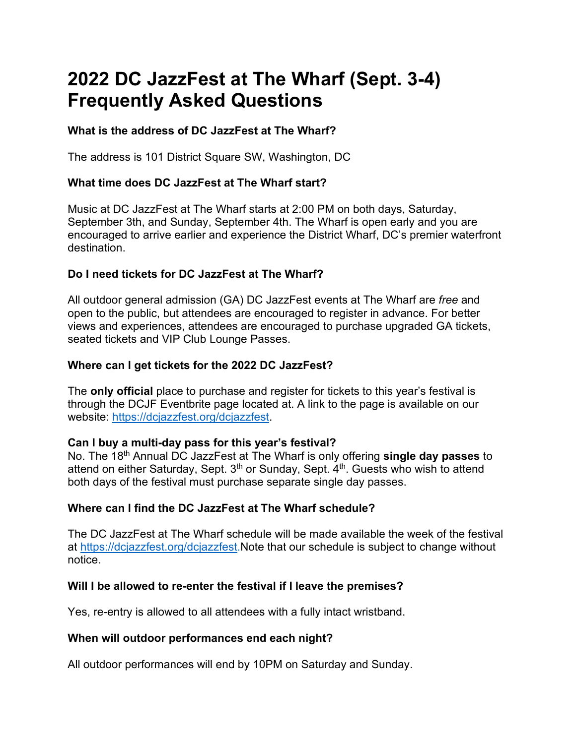# **2022 DC JazzFest at The Wharf (Sept. 3-4) Frequently Asked Questions**

## **What is the address of DC JazzFest at The Wharf?**

The address is 101 District Square SW, Washington, DC

## **What time does DC JazzFest at The Wharf start?**

Music at DC JazzFest at The Wharf starts at 2:00 PM on both days, Saturday, September 3th, and Sunday, September 4th. The Wharf is open early and you are encouraged to arrive earlier and experience the District Wharf, DC's premier waterfront destination.

#### **Do I need tickets for DC JazzFest at The Wharf?**

All outdoor general admission (GA) DC JazzFest events at The Wharf are *free* and open to the public, but attendees are encouraged to register in advance. For better views and experiences, attendees are encouraged to purchase upgraded GA tickets, seated tickets and VIP Club Lounge Passes.

#### **Where can I get tickets for the 2022 DC JazzFest?**

The **only official** place to purchase and register for tickets to this year's festival is through the DCJF Eventbrite page located at. A link to the page is available on our website: [https://dcjazzfest.org/dcjazzfest.](https://dcjazzfest.org/dcjazzfest)

#### **Can I buy a multi-day pass for this year's festival?**

No. The 18th Annual DC JazzFest at The Wharf is only offering **single day passes** to attend on either Saturday, Sept.  $3<sup>th</sup>$  or Sunday, Sept.  $4<sup>th</sup>$ . Guests who wish to attend both days of the festival must purchase separate single day passes.

# **Where can I find the DC JazzFest at The Wharf schedule?**

The DC JazzFest at The Wharf schedule will be made available the week of the festival at [https://dcjazzfest.org/dcjazzfest.](https://dcjazzfest.org/dcjazzfest)Note that our schedule is subject to change without notice.

# **Will I be allowed to re-enter the festival if I leave the premises?**

Yes, re-entry is allowed to all attendees with a fully intact wristband.

#### **When will outdoor performances end each night?**

All outdoor performances will end by 10PM on Saturday and Sunday.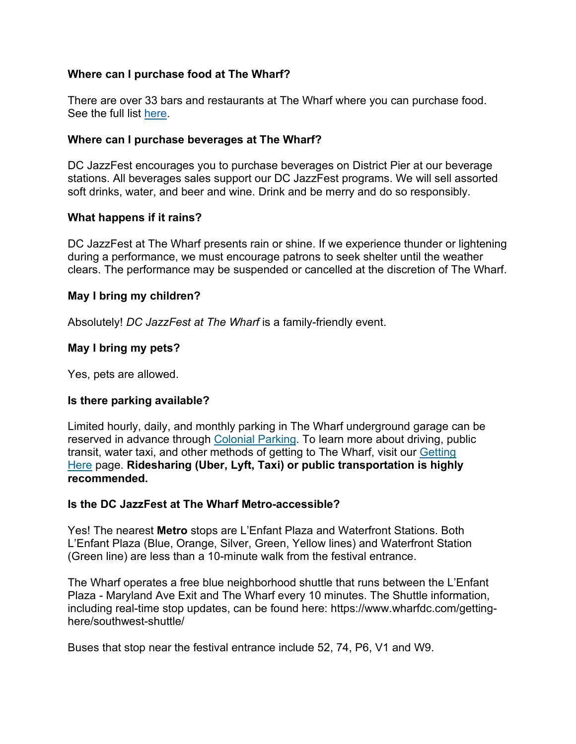#### **Where can I purchase food at The Wharf?**

There are over 33 bars and restaurants at The Wharf where you can purchase food. See the full list [here.](https://www.wharfdc.com/restaurants/)

#### **Where can I purchase beverages at The Wharf?**

DC JazzFest encourages you to purchase beverages on District Pier at our beverage stations. All beverages sales support our DC JazzFest programs. We will sell assorted soft drinks, water, and beer and wine. Drink and be merry and do so responsibly.

#### **What happens if it rains?**

DC JazzFest at The Wharf presents rain or shine. If we experience thunder or lightening during a performance, we must encourage patrons to seek shelter until the weather clears. The performance may be suspended or cancelled at the discretion of The Wharf.

#### **May I bring my children?**

Absolutely! *DC JazzFest at The Wharf* is a family-friendly event.

#### **May I bring my pets?**

Yes, pets are allowed.

#### **Is there parking available?**

Limited hourly, daily, and monthly parking in The Wharf underground garage can be reserved in advance through [Colonial Parking.](https://www.ecolonial.com/locations/wharf-dc-parking/) To learn more about driving, public transit, water taxi, and other methods of getting to The Wharf, visit our [Getting](https://www.wharfdc.com/getting-here/)  [Here](https://www.wharfdc.com/getting-here/) page. **Ridesharing (Uber, Lyft, Taxi) or public transportation is highly recommended.** 

#### **Is the DC JazzFest at The Wharf Metro-accessible?**

Yes! The nearest **Metro** stops are L'Enfant Plaza and Waterfront Stations. Both L'Enfant Plaza (Blue, Orange, Silver, Green, Yellow lines) and Waterfront Station (Green line) are less than a 10-minute walk from the festival entrance.

The Wharf operates a free blue neighborhood shuttle that runs between the L'Enfant Plaza - Maryland Ave Exit and The Wharf every 10 minutes. The Shuttle information, including real-time stop updates, can be found here: https://www.wharfdc.com/gettinghere/southwest-shuttle/

Buses that stop near the festival entrance include 52, 74, P6, V1 and W9.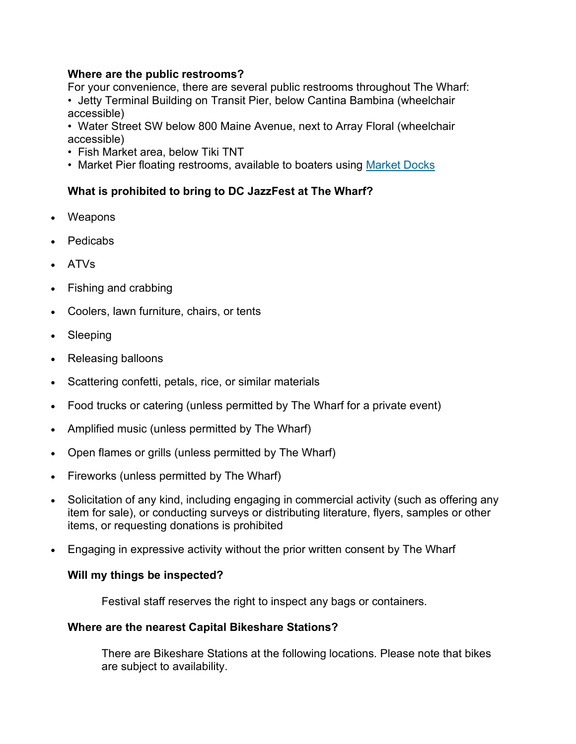#### **Where are the public restrooms?**

For your convenience, there are several public restrooms throughout The Wharf:

• Jetty Terminal Building on Transit Pier, below Cantina Bambina (wheelchair accessible)

• Water Street SW below 800 Maine Avenue, next to Array Floral (wheelchair accessible)

- Fish Market area, below Tiki TNT
- Market Pier floating restrooms, available to boaters using [Market Docks](https://www.wharfdc.com/waterfront/market-docks/)

# **What is prohibited to bring to DC JazzFest at The Wharf?**

- Weapons
- Pedicabs
- ATVs
- Fishing and crabbing
- Coolers, lawn furniture, chairs, or tents
- **Sleeping**
- Releasing balloons
- Scattering confetti, petals, rice, or similar materials
- Food trucks or catering (unless permitted by The Wharf for a private event)
- Amplified music (unless permitted by The Wharf)
- Open flames or grills (unless permitted by The Wharf)
- Fireworks (unless permitted by The Wharf)
- Solicitation of any kind, including engaging in commercial activity (such as offering any item for sale), or conducting surveys or distributing literature, flyers, samples or other items, or requesting donations is prohibited
- Engaging in expressive activity without the prior written consent by The Wharf

#### **Will my things be inspected?**

Festival staff reserves the right to inspect any bags or containers.

#### **Where are the nearest Capital Bikeshare Stations?**

There are Bikeshare Stations at the following locations. Please note that bikes are subject to availability.